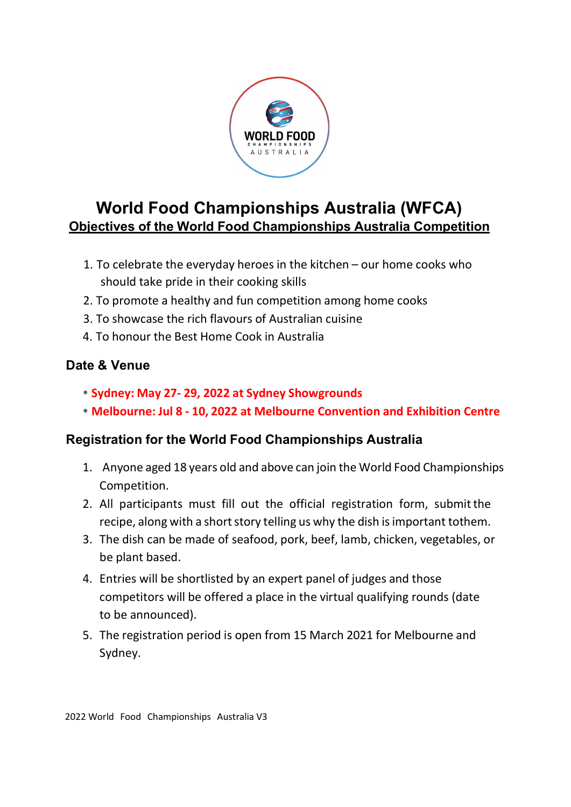

# World Food Championships Australia (WFCA) Objectives of the World Food Championships Australia Competition

- 1. To celebrate the everyday heroes in the kitchen our home cooks who should take pride in their cooking skills
- 2. To promote a healthy and fun competition among home cooks
- 3. To showcase the rich flavours of Australian cuisine
- 4. To honour the Best Home Cook in Australia

### Date & Venue

- Sydney: May 27- 29, 2022 at Sydney Showgrounds
- Melbourne: Jul 8 10, 2022 at Melbourne Convention and Exhibition Centre

#### Registration for the World Food Championships Australia

- 1. Anyone aged 18 years old and above can join the World Food Championships Competition.
- 2. All participants must fill out the official registration form, submit the recipe, along with a short story telling us why the dish is important tothem.
- 3. The dish can be made of seafood, pork, beef, lamb, chicken, vegetables, or be plant based.
- 4. Entries will be shortlisted by an expert panel of judges and those competitors will be offered a place in the virtual qualifying rounds (date to be announced).
- 5. The registration period is open from 15 March 2021 for Melbourne and Sydney.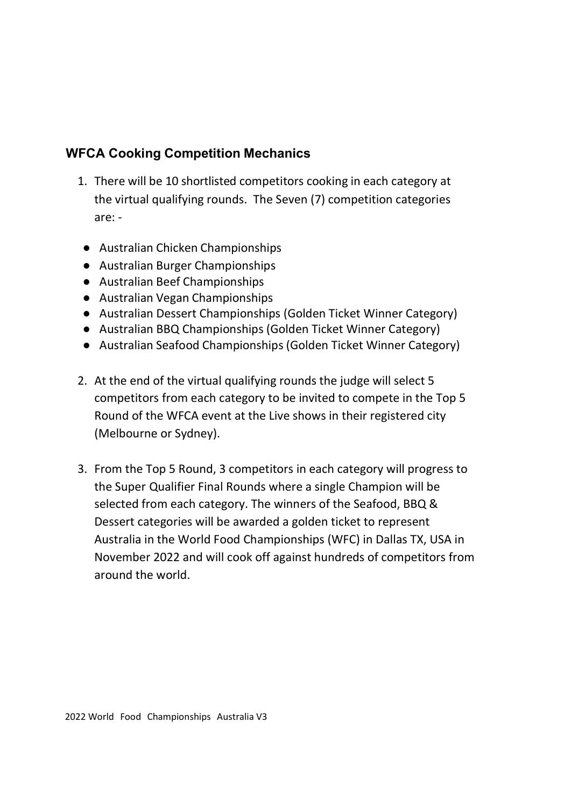# WFCA Cooking Competition Mechanics

- 1. There will be 10 shortlisted competitors cooking in each category at the virtual qualifying rounds. The Seven (7) competition categories are: -
- Australian Chicken Championships
- Australian Burger Championships
- Australian Beef Championships
- Australian Vegan Championships
- Australian Dessert Championships (Golden Ticket Winner Category)
- Australian BBQ Championships (Golden Ticket Winner Category)
- Australian Seafood Championships (Golden Ticket Winner Category)
- 2. At the end of the virtual qualifying rounds the judge will select 5 competitors from each category to be invited to compete in the Top 5 Round of the WFCA event at the Live shows in their registered city (Melbourne or Sydney).
- 3. From the Top 5 Round, 3 competitors in each category will progress to the Super Qualifier Final Rounds where a single Champion will be selected from each category. The winners of the Seafood, BBQ & Dessert categories will be awarded a golden ticket to represent Australia in the World Food Championships (WFC) in Dallas TX, USA in November 2022 and will cook off against hundreds of competitors from around the world.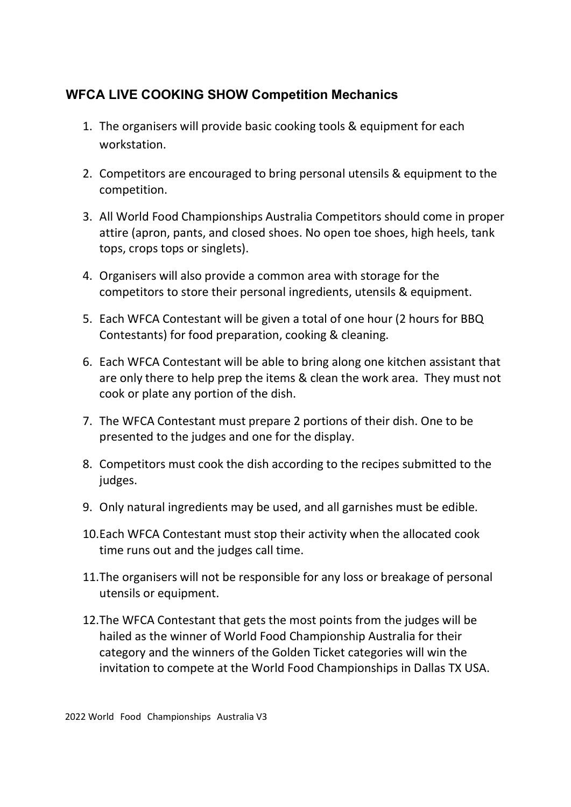# WFCA LIVE COOKING SHOW Competition Mechanics

- 1. The organisers will provide basic cooking tools & equipment for each workstation.
- 2. Competitors are encouraged to bring personal utensils & equipment to the competition.
- 3. All World Food Championships Australia Competitors should come in proper attire (apron, pants, and closed shoes. No open toe shoes, high heels, tank tops, crops tops or singlets).
- 4. Organisers will also provide a common area with storage for the competitors to store their personal ingredients, utensils & equipment.
- 5. Each WFCA Contestant will be given a total of one hour (2 hours for BBQ Contestants) for food preparation, cooking & cleaning.
- 6. Each WFCA Contestant will be able to bring along one kitchen assistant that are only there to help prep the items & clean the work area. They must not cook or plate any portion of the dish.
- 7. The WFCA Contestant must prepare 2 portions of their dish. One to be presented to the judges and one for the display.
- 8. Competitors must cook the dish according to the recipes submitted to the judges.
- 9. Only natural ingredients may be used, and all garnishes must be edible.
- 10.Each WFCA Contestant must stop their activity when the allocated cook time runs out and the judges call time.
- 11.The organisers will not be responsible for any loss or breakage of personal utensils or equipment.
- 12.The WFCA Contestant that gets the most points from the judges will be hailed as the winner of World Food Championship Australia for their category and the winners of the Golden Ticket categories will win the invitation to compete at the World Food Championships in Dallas TX USA.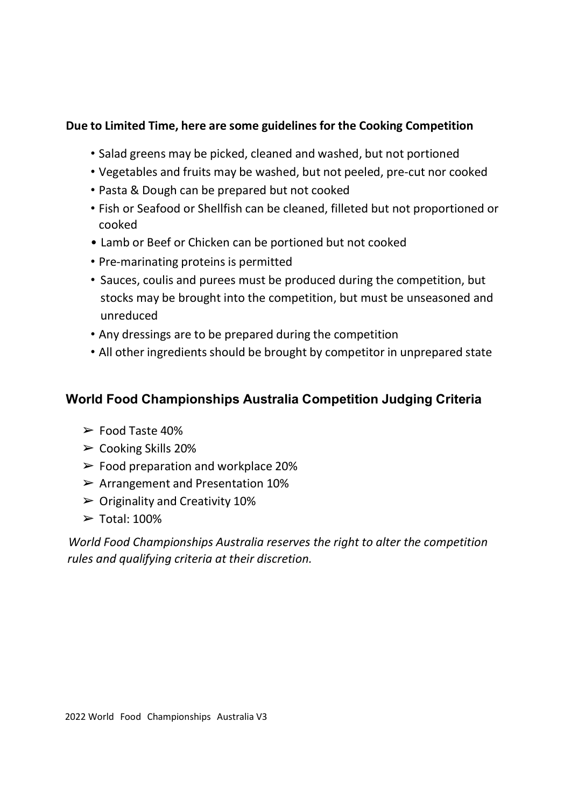#### Due to Limited Time, here are some guidelines for the Cooking Competition

- Salad greens may be picked, cleaned and washed, but not portioned
- Vegetables and fruits may be washed, but not peeled, pre-cut nor cooked
- Pasta & Dough can be prepared but not cooked
- Fish or Seafood or Shellfish can be cleaned, filleted but not proportioned or cooked
- Lamb or Beef or Chicken can be portioned but not cooked
- Pre-marinating proteins is permitted
- Sauces, coulis and purees must be produced during the competition, but stocks may be brought into the competition, but must be unseasoned and unreduced
- Any dressings are to be prepared during the competition
- All other ingredients should be brought by competitor in unprepared state

## World Food Championships Australia Competition Judging Criteria

- ➢ Food Taste 40%
- $\triangleright$  Cooking Skills 20%
- $\triangleright$  Food preparation and workplace 20%
- $\triangleright$  Arrangement and Presentation 10%
- $\triangleright$  Originality and Creativity 10%
- $\triangleright$  Total: 100%

World Food Championships Australia reserves the right to alter the competition rules and qualifying criteria at their discretion.